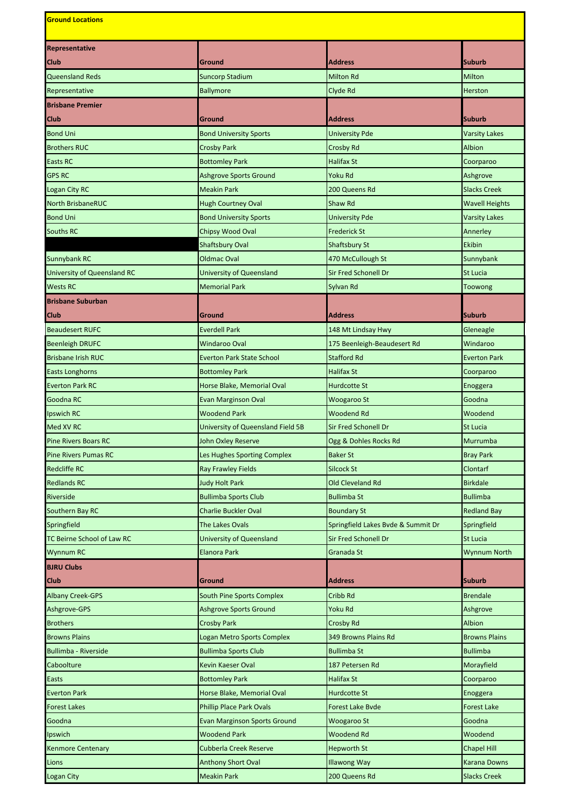| <b>Ground Locations</b>     |                                     |                                    |                      |  |
|-----------------------------|-------------------------------------|------------------------------------|----------------------|--|
| Representative              |                                     |                                    |                      |  |
| <b>Club</b>                 | Ground                              | <b>Address</b>                     | Suburb               |  |
| <b>Queensland Reds</b>      | <b>Suncorp Stadium</b>              | <b>Milton Rd</b>                   | Milton               |  |
| Representative              | Ballymore                           | Clyde Rd                           | Herston              |  |
| <b>Brisbane Premier</b>     |                                     |                                    |                      |  |
| <b>Club</b>                 | Ground                              | <b>Address</b>                     | Suburb               |  |
| <b>Bond Uni</b>             | <b>Bond University Sports</b>       | <b>University Pde</b>              | Varsity Lakes        |  |
| <b>Brothers RUC</b>         | <b>Crosby Park</b>                  | Crosby Rd                          | <b>Albion</b>        |  |
| Easts RC                    | <b>Bottomley Park</b>               | Halifax St                         | Coorparoo            |  |
| <b>GPS RC</b>               | <b>Ashgrove Sports Ground</b>       | Yoku Rd                            | Ashgrove             |  |
| Logan City RC               | <b>Meakin Park</b>                  | 200 Queens Rd                      | <b>Slacks Creek</b>  |  |
| North BrisbaneRUC           | <b>Hugh Courtney Oval</b>           | Shaw Rd                            | Wavell Heights       |  |
| <b>Bond Uni</b>             | <b>Bond University Sports</b>       | <b>University Pde</b>              | <b>Varsity Lakes</b> |  |
| <b>Souths RC</b>            | Chipsy Wood Oval                    | Frederick St                       | Annerley             |  |
|                             | <b>Shaftsbury Oval</b>              | <b>Shaftsbury St</b>               | <b>Ekibin</b>        |  |
| <b>Sunnybank RC</b>         | <b>Oldmac Oval</b>                  | 470 McCullough St                  | Sunnybank            |  |
| University of Queensland RC | <b>University of Queensland</b>     | <b>Sir Fred Schonell Dr</b>        | <b>St Lucia</b>      |  |
| <b>Wests RC</b>             | <b>Memorial Park</b>                | Sylvan Rd                          | Toowong              |  |
| <b>Brisbane Suburban</b>    |                                     |                                    |                      |  |
| <b>Club</b>                 | Ground                              | <b>Address</b>                     | Suburb               |  |
| <b>Beaudesert RUFC</b>      | <b>Everdell Park</b>                | 148 Mt Lindsay Hwy                 | Gleneagle            |  |
| <b>Beenleigh DRUFC</b>      | Windaroo Oval                       | 175 Beenleigh-Beaudesert Rd        | Windaroo             |  |
| <b>Brisbane Irish RUC</b>   | <b>Everton Park State School</b>    | <b>Stafford Rd</b>                 | <b>Everton Park</b>  |  |
| <b>Easts Longhorns</b>      | <b>Bottomley Park</b>               | Halifax St                         | Coorparoo            |  |
| <b>Everton Park RC</b>      | Horse Blake, Memorial Oval          | <b>Hurdcotte St</b>                | Enoggera             |  |
| Goodna RC                   | Evan Marginson Oval                 | Woogaroo St                        | Goodna               |  |
| Ipswich RC                  | <b>Woodend Park</b>                 | <b>Woodend Rd</b>                  | Woodend              |  |
| Med XV RC                   | University of Queensland Field 5B   | <b>Sir Fred Schonell Dr</b>        | St Lucia             |  |
| <b>Pine Rivers Boars RC</b> | John Oxley Reserve                  | Ogg & Dohles Rocks Rd              | Murrumba             |  |
| <b>Pine Rivers Pumas RC</b> | Les Hughes Sporting Complex         | <b>Baker St</b>                    | <b>Bray Park</b>     |  |
| <b>Redcliffe RC</b>         | <b>Ray Frawley Fields</b>           | Silcock St                         | Clontarf             |  |
| <b>Redlands RC</b>          | <b>Judy Holt Park</b>               | Old Cleveland Rd                   | <b>Birkdale</b>      |  |
| Riverside                   | <b>Bullimba Sports Club</b>         | <b>Bullimba St</b>                 | <b>Bullimba</b>      |  |
| Southern Bay RC             | <b>Charlie Buckler Oval</b>         | <b>Boundary St</b>                 | <b>Redland Bay</b>   |  |
| Springfield                 | The Lakes Ovals                     | Springfield Lakes Bvde & Summit Dr | Springfield          |  |
| TC Beirne School of Law RC  | University of Queensland            | Sir Fred Schonell Dr               | St Lucia             |  |
| <b>Wynnum RC</b>            | <b>Elanora Park</b>                 | Granada St                         | Wynnum North         |  |
| <b>BJRU Clubs</b>           |                                     |                                    |                      |  |
| Club                        | Ground                              | <b>Address</b>                     | Suburb               |  |
| <b>Albany Creek-GPS</b>     | South Pine Sports Complex           | Cribb Rd                           | <b>Brendale</b>      |  |
| Ashgrove-GPS                | <b>Ashgrove Sports Ground</b>       | Yoku Rd                            | Ashgrove             |  |
| <b>Brothers</b>             | <b>Crosby Park</b>                  | <b>Crosby Rd</b>                   | Albion               |  |
| <b>Browns Plains</b>        | Logan Metro Sports Complex          | 349 Browns Plains Rd               | <b>Browns Plains</b> |  |
| <b>Bullimba - Riverside</b> | <b>Bullimba Sports Club</b>         | <b>Bullimba St</b>                 | <b>Bullimba</b>      |  |
| Caboolture                  | Kevin Kaeser Oval                   | 187 Petersen Rd                    | Morayfield           |  |
| Easts                       | <b>Bottomley Park</b>               | Halifax St                         | Coorparoo            |  |
| <b>Everton Park</b>         | Horse Blake, Memorial Oval          | <b>Hurdcotte St</b>                | Enoggera             |  |
| Forest Lakes                | <b>Phillip Place Park Ovals</b>     | <b>Forest Lake Byde</b>            | <b>Forest Lake</b>   |  |
| Goodna                      | <b>Evan Marginson Sports Ground</b> | Woogaroo St                        | Goodna               |  |
| Ipswich                     | <b>Woodend Park</b>                 | Woodend Rd                         | Woodend              |  |
| Kenmore Centenary           | Cubberla Creek Reserve              | <b>Hepworth St</b>                 | Chapel Hill          |  |
| Lions                       | <b>Anthony Short Oval</b>           | <b>Illawong Way</b>                | <b>Karana Downs</b>  |  |
| Logan City                  | <b>Meakin Park</b>                  | 200 Queens Rd                      | <b>Slacks Creek</b>  |  |